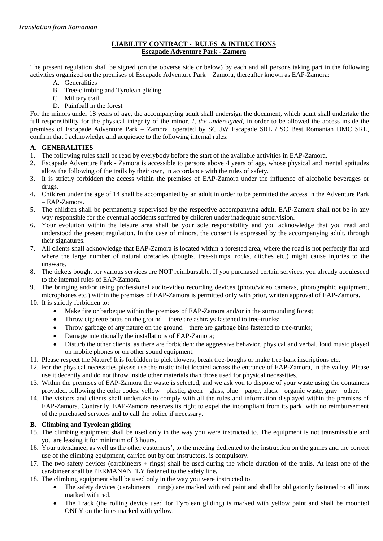### **LIABILITY CONTRACT - RULES & INTRUCTIONS Escapade Adventure Park - Zamora**

The present regulation shall be signed (on the obverse side or below) by each and all persons taking part in the following activities organized on the premises of Escapade Adventure Park – Zamora, thereafter known as EAP-Zamora:

- A. Generalities
- B. Tree-climbing and Tyrolean gliding
- C. Military trail
- D. Paintball in the forest

For the minors under 18 years of age, the accompanying adult shall undersign the document, which adult shall undertake the full responsibility for the physical integrity of the minor. *I, the undersigned,* in order to be allowed the access inside the premises of Escapade Adventure Park – Zamora, operated by SC JW Escapade SRL / SC Best Romanian DMC SRL, confirm that I acknowledge and acquiesce to the following internal rules:

### **A. GENERALITIES**

- 1. The following rules shall be read by everybody before the start of the available activities in EAP-Zamora.
- 2. Escapade Adventure Park Zamora is accessible to persons above 4 years of age, whose physical and mental aptitudes allow the following of the trails by their own, in accordance with the rules of safety.
- 3. It is strictly forbidden the access within the premises of EAP-Zamora under the influence of alcoholic beverages or drugs.
- 4. Children under the age of 14 shall be accompanied by an adult in order to be permitted the access in the Adventure Park – EAP-Zamora.
- 5. The children shall be permanently supervised by the respective accompanying adult. EAP-Zamora shall not be in any way responsible for the eventual accidents suffered by children under inadequate supervision.
- 6. Your evolution within the leisure area shall be your sole responsibility and you acknowledge that you read and understood the present regulation. In the case of minors, the consent is expressed by the accompanying adult, through their signatures.
- 7. All clients shall acknowledge that EAP-Zamora is located within a forested area, where the road is not perfectly flat and where the large number of natural obstacles (boughs, tree-stumps, rocks, ditches etc.) might cause injuries to the unaware.
- 8. The tickets bought for various services are NOT reimbursable. If you purchased certain services, you already acquiesced to the internal rules of EAP-Zamora.
- 9. The bringing and/or using professional audio-video recording devices (photo/video cameras, photographic equipment, microphones etc.) within the premises of EAP-Zamora is permitted only with prior, written approval of EAP-Zamora.
- 10. It is strictly forbidden to:
	- Make fire or barbeque within the premises of EAP-Zamora and/or in the surrounding forest;
	- Throw cigarette butts on the ground there are ashtrays fastened to tree-trunks;
	- Throw garbage of any nature on the ground there are garbage bins fastened to tree-trunks;
	- Damage intentionally the installations of EAP-Zamora;
	- Disturb the other clients, as there are forbidden: the aggressive behavior, physical and verbal, loud music played on mobile phones or on other sound equipment;
- 11. Please respect the Nature! It is forbidden to pick flowers, break tree-boughs or make tree-bark inscriptions etc.
- 12. For the physical necessities please use the rustic toilet located across the entrance of EAP-Zamora, in the valley. Please use it decently and do not throw inside other materials than those used for physical necessities.
- 13. Within the premises of EAP-Zamora the waste is selected, and we ask you to dispose of your waste using the containers provided, following the color codes: yellow – plastic, green – glass, blue – paper, black – organic waste, gray – other.
- 14. The visitors and clients shall undertake to comply with all the rules and information displayed within the premises of EAP-Zamora. Contrarily, EAP-Zamora reserves its right to expel the incompliant from its park, with no reimbursement of the purchased services and to call the police if necessary.

# **B. Climbing and Tyrolean gliding**

- 15. The climbing equipment shall be used only in the way you were instructed to. The equipment is not transmissible and you are leasing it for minimum of 3 hours.
- 16. Your attendance, as well as the other customers', to the meeting dedicated to the instruction on the games and the correct use of the climbing equipment, carried out by our instructors, is compulsory.
- 17. The two safety devices (carabineers + rings) shall be used during the whole duration of the trails. At least one of the carabineer shall be PERMANANTLY fastened to the safety line.
- 18. The climbing equipment shall be used only in the way you were instructed to.
	- The safety devices (carabineers + rings) are marked with red paint and shall be obligatorily fastened to all lines marked with red.
	- The Track (the rolling device used for Tyrolean gliding) is marked with yellow paint and shall be mounted ONLY on the lines marked with yellow.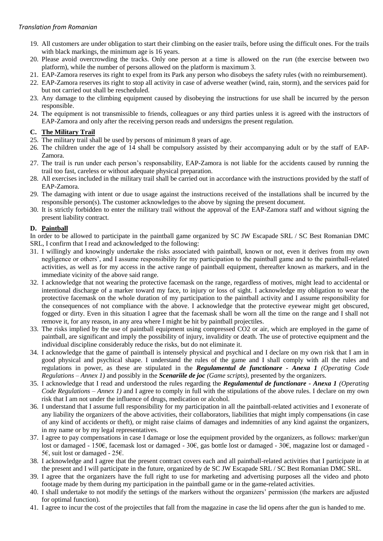### *Translation from Romanian*

- 19. All customers are under obligation to start their climbing on the easier trails, before using the difficult ones. For the trails with black markings, the minimum age is 16 years.
- 20. Please avoid overcrowding the tracks. Only one person at a time is allowed on the *run* (the exercise between two platform), while the number of persons allowed on the platform is maximum 3.
- 21. EAP-Zamora reserves its right to expel from its Park any person who disobeys the safety rules (with no reimbursement).
- 22. EAP-Zamora reserves its right to stop all activity in case of adverse weather (wind, rain, storm), and the services paid for but not carried out shall be rescheduled.
- 23. Any damage to the climbing equipment caused by disobeying the instructions for use shall be incurred by the person responsible.
- 24. The equipment is not transmissible to friends, colleagues or any third parties unless it is agreed with the instructors of EAP-Zamora and only after the receiving person reads and undersigns the present regulation.

# **C. The Military Trail**

- 25. The military trail shall be used by persons of minimum 8 years of age.
- 26. The children under the age of 14 shall be compulsory assisted by their accompanying adult or by the staff of EAP-Zamora.
- 27. The trail is run under each person's responsability, EAP-Zamora is not liable for the accidents caused by running the trail too fast, careless or without adequate physical preparation.
- 28. All exercises included in the military trail shall be carried out in accordance with the instructions provided by the staff of EAP-Zamora.
- 29. The damaging with intent or due to usage against the instructions received of the installations shall be incurred by the responsible person(s). The customer acknowledges to the above by signing the present document.
- 30. It is strictly forbidden to enter the military trail without the approval of the EAP-Zamora staff and without signing the present liability contract.

# **D. Paintball**

In order to be allowed to participate in the paintball game organized by SC JW Escapade SRL / SC Best Romanian DMC SRL, I confirm that I read and acknowledged to the following:

- 31. I willingly and knowingly undertake the risks associated with paintball, known or not, even it derives from my own negligence or others', and I assume responsibility for my participation to the paintball game and to the paintball-related activities, as well as for my access in the active range of paintball equipment, thereafter known as markers, and in the immediate vicinity of the above said range.
- 32. I acknowledge that not wearing the protective facemask on the range, regardless of motives, might lead to accidental or intentional discharge of a marker toward my face, to injury or loss of sight. I acknowledge my obligation to wear the protective facemask on the whole duration of my participation to the paintball activity and I assume responsibility for the consequences of not compliance with the above. I acknowledge that the protective eyewear might get obscured, fogged or dirty. Even in this situation I agree that the facemask shall be worn all the time on the range and I shall not remove it, for any reason, in any area where I might be hit by paintball projectiles.
- 33. The risks implied by the use of paintball equipment using compressed CO2 or air, which are employed in the game of paintball, are significant and imply the possibility of injury, invalidity or death. The use of protective equipment and the individual discipline considerably reduce the risks, but do not eliminate it.
- 34. I acknowledge that the game of paintball is intensely physical and psychical and I declare on my own risk that I am in good physical and psychical shape. I understand the rules of the game and I shall comply with all the rules and regulations in power, as these are stipulated in the *Regulamentul de functionare - Anexa 1 (Operating Code Regulations – Annex 1)* and possibly in the *Scenariile de joc (Game scripts)*, presented by the organizers.
- 35. I acknowledge that I read and understood the rules regarding the *Regulamentul de functionare - Anexa 1 (Operating Code Regulations – Annex 1)* and I agree to comply in full with the stipulations of the above rules. I declare on my own risk that I am not under the influence of drugs, medication or alcohol.
- 36. I understand that I assume full responsibility for my participation in all the paintball-related activities and I exonerate of any liability the organizers of the above activities, their collaborators, liabilities that might imply compensations (in case of any kind of accidents or theft), or might raise claims of damages and indemnities of any kind against the organizers, in my name or by my legal representatives.
- 37. I agree to pay compensations in case I damage or lose the equipment provided by the organizers, as follows: marker/gun lost or damaged - 150€, facemask lost or damaged - 30€, gas bottle lost or damaged - 30€, magazine lost or damaged - 5€, suit lost or damaged - 25€.
- 38. I acknowledge and I agree that the present contract covers each and all paintball-related activities that I participate in at the present and I will participate in the future, organized by de SC JW Escapade SRL / SC Best Romanian DMC SRL.
- 39. I agree that the organizers have the full right to use for marketing and advertising purposes all the video and photo footage made by them during my participation in the paintball game or in the game-related activities.
- 40. I shall undertake to not modify the settings of the markers without the organizers' permission (the markers are adjusted for optimal function).
- 41. I agree to incur the cost of the projectiles that fall from the magazine in case the lid opens after the gun is handed to me.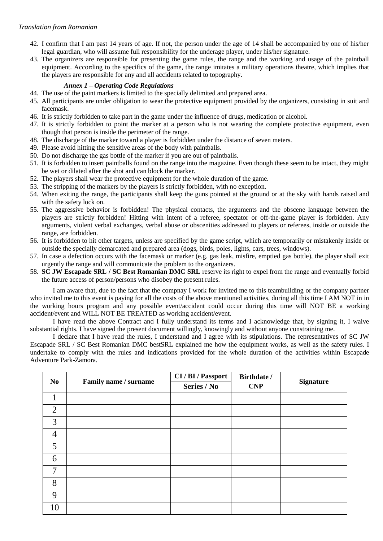#### *Translation from Romanian*

- 42. I confirm that I am past 14 years of age. If not, the person under the age of 14 shall be accompanied by one of his/her legal guardian, who will assume full responsibility for the underage player, under his/her signature.
- 43. The organizers are responsible for presenting the game rules, the range and the working and usage of the paintball equipment. According to the specifics of the game, the range imitates a military operations theatre, which implies that the players are responsible for any and all accidents related to topography.

#### *Annex 1* **–** *Operating Code Regulations*

- 44. The use of the paint markers is limited to the specially delimited and prepared area.
- 45. All participants are under obligation to wear the protective equipment provided by the organizers, consisting in suit and facemask.
- 46. It is strictly forbidden to take part in the game under the influence of drugs, medication or alcohol.
- 47. It is strictly forbidden to point the marker at a person who is not wearing the complete protective equipment, even though that person is inside the perimeter of the range.
- 48. The discharge of the marker toward a player is forbidden under the distance of seven meters.
- 49. Please avoid hitting the sensitive areas of the body with paintballs.
- 50. Do not discharge the gas bottle of the marker if you are out of paintballs.
- 51. It is forbidden to insert paintballs found on the range into the magazine. Even though these seem to be intact, they might be wet or dilated after the shot and can block the marker.
- 52. The players shall wear the protective equipment for the whole duration of the game.
- 53. The stripping of the markers by the players is strictly forbidden, with no exception.
- 54. When exiting the range, the participants shall keep the guns pointed at the ground or at the sky with hands raised and with the safety lock on.
- 55. The aggressive behavior is forbidden! The physical contacts, the arguments and the obscene language between the players are strictly forbidden! Hitting with intent of a referee, spectator or off-the-game player is forbidden. Any arguments, violent verbal exchanges, verbal abuse or obscenities addressed to players or referees, inside or outside the range, are forbidden.
- 56. It is forbidden to hit other targets, unless are specified by the game script, which are temporarily or mistakenly inside or outside the specially demarcated and prepared area (dogs, birds, poles, lights, cars, trees, windows).
- 57. In case a defection occurs with the facemask or marker (e.g. gas leak, misfire, emptied gas bottle), the player shall exit urgently the range and will communicate the problem to the organizers.
- 58. **SC JW Escapade SRL / SC Best Romanian DMC SRL** reserve its right to expel from the range and eventually forbid the future access of person/persons who disobey the present rules.

I am aware that, due to the fact that the compnay I work for invited me to this teambuilding or the company partner who invited me to this event is paying for all the costs of the above mentioned activities, during all this time I AM NOT in in the working hours program and any possible event/accident could occur during this time will NOT BE a working accident/event and WILL NOT BE TREATED as working accident/event.

I have read the above Contract and I fully understand its terms and I acknowledge that, by signing it, I waive substantial rights. I have signed the present document willingly, knowingly and without anyone constraining me.

I declare that I have read the rules, I understand and I agree with its stipulations. The representatives of SC JW Escapade SRL / SC Best Romanian DMC bestSRL explained me how the equipment works, as well as the safety rules. I undertake to comply with the rules and indications provided for the whole duration of the activities within Escapade Adventure Park-Zamora.

| N <sub>0</sub> | Family name / surname | CI / BI / Passport<br>Series / No | Birthdate /<br>CNP | <b>Signature</b> |
|----------------|-----------------------|-----------------------------------|--------------------|------------------|
| 1              |                       |                                   |                    |                  |
| $\overline{2}$ |                       |                                   |                    |                  |
| 3              |                       |                                   |                    |                  |
| $\overline{4}$ |                       |                                   |                    |                  |
| 5              |                       |                                   |                    |                  |
| 6              |                       |                                   |                    |                  |
| 7              |                       |                                   |                    |                  |
| 8              |                       |                                   |                    |                  |
| 9              |                       |                                   |                    |                  |
| 10             |                       |                                   |                    |                  |